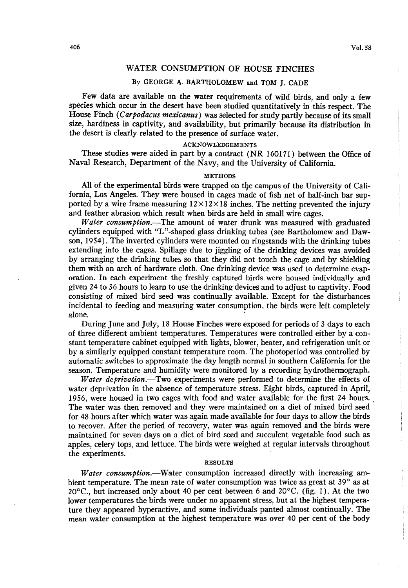# **WATER CONSUMPTION OF HOUSE FINCHES**

## **BY GEORGE A. BARTHOLOMEW and TOM J. CADE**

**Few data are available on the water requirements of wild birds, and only a few species which occur in the desert have been studied quantitatively in this respect. The House Finch (Carpodacus mexicanus) was selected for study partly because of its small size, hardiness in captivity, and availability, but primarily because its distribution in the desert is clearly related to the presence of surface water.** 

## **ACKNOWLEDGEMENTS**

**These studies were aided in part by a contract (NR 160171) between the Office of Naval Research, Department of the Navy, and the University of California.** 

### **METHODS**

**All of the experimental birds were trapped on the campus of the University of Cal& fornia, Los Angeles. They were housed in cages made of fish net of half-inch bar sup**ported by a wire frame measuring  $12 \times 12 \times 18$  inches. The netting prevented the injury **and feather abrasion which result when birds are held in small wire cages.** 

**Water consumption.-The amount of water drunk was measured with graduated cylinders equipped with "L"-shaped glass drinking tubes (see Bartholomew and Dawson, 1954). The inverted cylinders were mounted on ringstands with the drinking tubes extending into the cages. Spillage due to jiggling of the drinking devices was avoided by arranging the drinking tubes so that they did not touch the cage and by shielding them with an arch of hardware cloth. One drinking device was used to determine evaporation. In each experiment the freshly captured birds were housed individually and given 24 to 36 hours to learn to use the drinking devices and to adjust to captivity. Food consisting of mixed bird seed was continually available. Except for the disturbances incidental to feeding and measuring water consumption, the birds were left completely alone.** 

**During June and July, 18 House Finches were exposed for periods of 3 days to each of three different ambient temperatures. Temperatures were controlled either by a constant temperature cabinet equipped with lights, blower, heater, and refrigeration unit or by a similarly equipped constant temperature room. The photoperiod was controlled by automatic switches to approximate the day length normal in southern California for the season. Temperature and humidity were monitored by a recording hydrothermograph.** 

Water deprivation.-Two experiments were performed to determine the effects of **water deprivation in the absence of temperature stress. Eight birds, captured in April, 1956, were housed in two cages with food and water available for the first 24 hours. The water was then removed and they were maintained on a diet of mixed bird seed for 48 hours after which water was again made available for four days to allow the birds to recover. After the period of recovery, water was again removed and the birds were maintained for seven days on a diet of bird seed and succulent vegetable food such as apples, celery tops, and lettuce. The birds were weighed at regular intervals throughout the experiments.** 

## **RESULTS**

Water consumption.—Water consumption increased directly with increasing am**bient temperature. The mean rate of water consumption was twice as great at 39' as at 2o"C., but increased only about 40 per cent between 6 and 2O'C. (fig. 1). At the two lower temperatures the birds were under no apparent stress, but at the highest temperature they appeared hyperactive, and some individuals panted almost continually. The mean water consumption at the highest temperature was over 40 per cent of the body**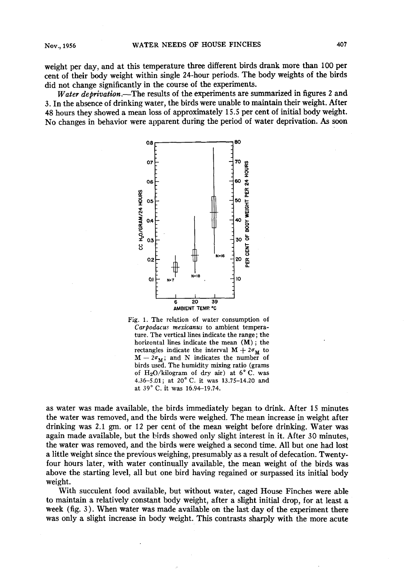**weight per day, and at this temperature three different birds drank more than 100 per cent of their body weight within single 24-hour periods. The body weights of the birds did not change significantly in the course of the experiments.** 

Water deprivation.—The results of the experiments are summarized in figures 2 and **3. In the absence of drinking water, the birds were unable to maintain their weight. After 48 hours they showed a mean loss of approximately 15.5 per cent of initial body weight. No changes in behavior were apparent during the period of water deprivation. As soon** 





**as water was made available, the birds immediately began to drink. After 15 minutes the water was removed, and the birds were weighed. The mean increase in weight after drinking was 2.1 gm. or 12 per cent of the mean weight before drinking. Water was again made available, but the birds showed only slight interest in it. After 30 minutes, the water was removed, and the birds were weighed a second time. All but one had lost a little weight since the previous weighing, presumably as a result of defecation. Twentyfour hours later, with water continually available, the mean weight of the birds was above the starting level, all but one bird having regained or surpassed its initial body weight.** 

**With succulent food available, but without water, caged House Finches were able to maintain a relatively constant body weight, after a slight initial drop, for at least a**  week (fig. 3). When water was made available on the last day of the experiment there **was only a slight increase in body weight. This contrasts sharply with the more acute**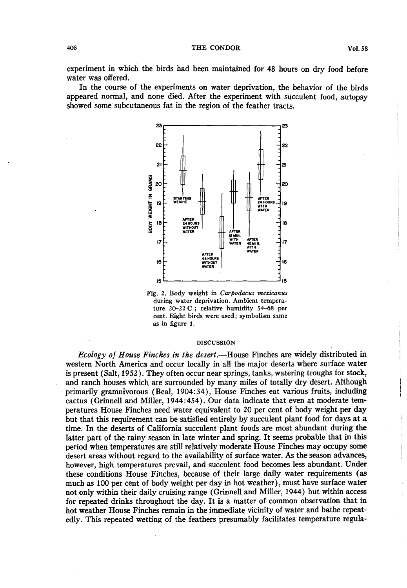**experiment in which the birds had been maintained for 48 hours on dry food before water was offered.** 

**In the course of the experiments on water deprivation, the behavior of the birds appeared normal, and none died. After the experiment with succulent food, autopsy showed some'subcutaneous fat in the region of the feather tracts.** 



Fig. 2. Body weight in Carpodacus mexicanus **during water deprivation. Ambient temperature 20-22 C.; relative humidity 54-68 per cent. Eight birds were used; symbolism same as in figure 1.** 

#### **DISCUSSION**

**Ecology of House Finches in the desert.-House Finches are widely distributed in western North America and occur locally in all the major deserts where surface water is present (Salt, 1952). They often occur near springs, tanks, watering troughs for stock, and ranch houses which are surrounded by many miles of totally dry desert. Although primarily gramnivorous (Beal, 1904:34), House Finches eat various fruits, including**  cactus (Grinnell and Miller, 1944:454). Our data indicate that even at moderate tem**peratures House Finches need water equivalent to 20 per cent of body weight per day but that this requirement can be satisfied entirely by succulent plant food for days at a time. In the deserts of California succulent plant foods are most abundant during the latter part of the rainy season in late winter and spring. It seems probable that in this period when temperatures are still relatively moderate House Finches may occupy some desert areas without regard to the availability of surface water. As the season advances, however, high temperatures prevail, and succulent food becomes less abundant. Under these conditions House Finches, because of their large daily water requirements (as much as 100 per cent of body weight per day in hot weather), must have surface water not only within their daily cruising range (Grinnell and Miller, 1944) but within access for repeated drinks throughout the day. It is a matter of common observation that in hot weather House Finches remain in the immediate vicinity of water and bathe repeatedly. This repeated wetting of the feathers presumably facilitates temperature regula-**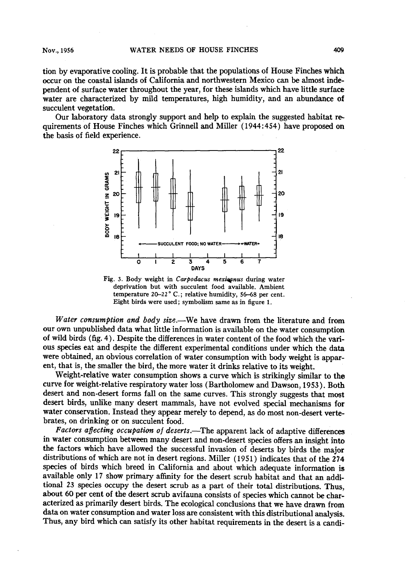**tion by evaporative cooling. It is probable that the populations of House Finches which occur on the coastal islands of California and northwestern Mexico can be almost independent of surface water throughout the year, for these islands which have little surface water are characterized by mild temperatures, high humidity, and an abundance of succulent vegetation.** 

**Our laboratory data strongly support and help to explain the suggested habitat requirements of House Finches which Grinnell and Miller (1944:454) have proposed on the basis of field experience.** 



Fig. 3. Body weight in Carpodacus mexicanus during water **deprivation but with succulent food available. Ambient temperature Z&22 ' C. ; relative humidity, 56-68 per cent. Eight birds were used; symbolism same as in figure 1.** 

Water consumption and body size.—We have drawn from the literature and from **our own unpublished data what little information is available on the water consumption of wild birds (fig. 4). Despite the differences in water content of the food which the various species eat and despite the different experimental conditions under which the data were obtained, an obvious correlation of water consumption with body weight is apparent, that is, the smaller the bird, the more water it drinks relative to its weight.** 

**Weight-relative water consumption shows a curve which is strikingly similar to the curve for weight-relative respiratory water loss (Bartholomew and Dawson, 1953). Both desert and non-desert forms fall on the same curves. This strongly suggests that most desert birds, unlike many desert mammals, have not evolved special mechanisms for water conservation. Instead they appear merely to depend, as do most non-desert vertebrates, on drinking or on succulent food.** 

Factors affecting occupation of deserts.-The apparent lack of adaptive differences **in water consumption between many desert and non-desert species offers an insight into the factors which have allowed the successful invasion of deserts by birds the major distributions of which are not in desert regions. Miller ( 1951) indicates that of the 274 species of birds which breed in California and about which adequate information is available only 17 show primary affinity for the desert scrub habitat and that an additional 23 species occupy the desert scrub as a part of their total distributions. Thus, about 60 per cent of the desert scrub avifauna consists of species which cannot be characterized as primarily desert birds. The ecological conclusions that we have drawn from data on water consumption and water loss are consistent with this distributional analysis. Thus, any bird which can satisfy its other habitat requirements in the desert is a candi-**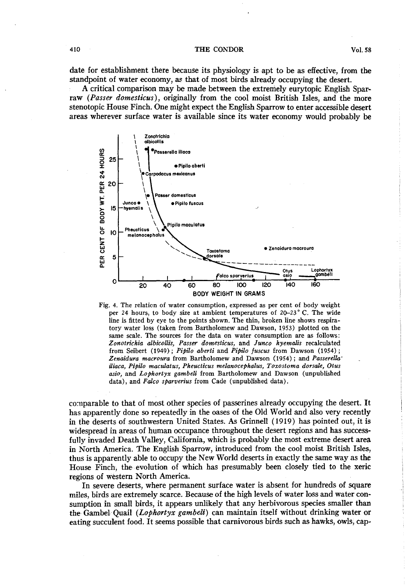#### **410 THE CONDOR Vol. 58**

**A critical comparison may be made between the extremely eurytopic English Sparraw (Passer domesticus), originally from the cool moist British Isles, and the more stenotopic House Finch. One might expect the English Sparrow to enter accessible desert areas wherever surface water is available since its water economy would probably be** 



**Fig. 4. The relation of water consumption, expressed as per cent of body weight per 24 hours, to body size at ambient temperatures of 20-23" C. The wide line is fitted by eye to the points shown. The thin, broken line shows respiratory water loss (taken from Bartholomew and Dawson, 1953) plotted on the same scale. The sources for the data on water consumption are as follows: Zonotrichia albicollis, Passer domesticus, and Junco hyemalis recalculated**  from Seibert (1949); Pipilo aberti and Pipilo fuscus from Dawson (1954); Zenaidura macroura from Bartholomew and Dawson (1954); and Passerella<sup>-</sup> iliaca, Pipilo maculatus, Pheucticus melanocephalus, Toxostoma dorsale, Otus asio, and Lophortyx gambeli from Bartholomew and Dawson (unpublished data), and Falco sparverius from Cade (unpublished data).

**comparable to that of most other species of passerines already occupying the desert. It has apparently done so repeatedly in the oases of the Old World and also very recently in the deserts of southwestern United States. As Grinnell (1919) has pointed out, it is widespread in areas of human occupance throughout the desert regions and has successfully invaded Death Valley, California, which is probably the most extreme desert area in North America. The English Sparrow, introduced from the cool moist British Isles, thus is apparently able to occupy the New World deserts in exactly the same way as the House Finch, the evolution of which has presumably been closely tied to the xeric regions of western North America.** 

**In severe deserts, where permanent surface water is absent for hundreds of square miles, birds are extremely scarce. Because of the high levels of water loss and water consumption in small birds, it appears unlikely that any herbivorous species smaller than**  the Gambel Quail (Lophortyx gambeli) can maintain itself without drinking water or **eating succulent food. It seems possible that carnivorous birds such as hawks, owls, cap-**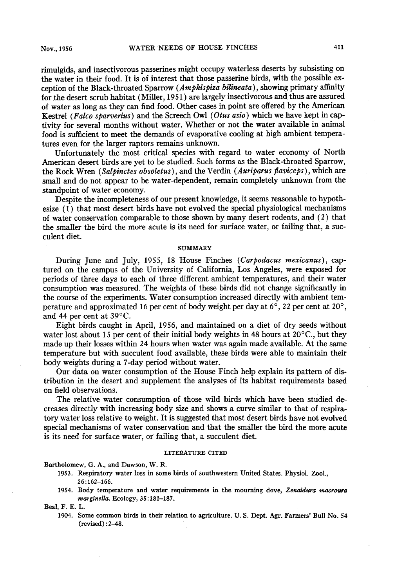**rimulgids, and insectivorous passerines might occupy waterless deserts by subsisting on the water in their food. It is of interest that those passerine birds, with the possible ex**ception of the Black-throated Sparrow (Amphispiza bilineata), showing primary affinity for the desert scrub habitat (Miller, 1951) are largely insectivorous and thus are assured **of water as long as they can find food. Other cases in point are offered by the American Kestrel (Falco sparverius)** and the Screech Owl (Otus asio) which we have kept in cap**tivity for several months without water. Whether or not the water available in animal food is sufficient to meet the demands of evaporative cooling at high ambient temperatures even for the larger raptors remains unknown.** 

**Unfortunately the most critical species with regard to water economy of North American desert birds are yet to be studied. Such forms as the Black-throated Sparrow,**  the Rock Wren (Salpinctes obsoletus), and the Verdin (Auriparus flaviceps), which are **small and do not appear to be water-dependent, remain completely unknown from the standpoint of water economy.** 

**Despite the incompleteness of our present knowledge, it seems reasonable to hypothesize (1) that most desert birds have not evolved the special physiological mechanisms of water conservation comparable to those shown by many desert rodents, and (2) that the smaller the bird the more acute is its need for surface water, or failing that, a succulent diet.** 

## **SUMMARY**

During June and July, 1955, 18 House Finches (Carpodacus mexicanus), cap**tured on the campus of the University of California, Los Angeles, were exposed for periods of three days to each of three different ambient temperatures, and their water consumption was measured. The weights of these birds did not change significantly in the course of the experiments. Water consumption increased directly with ambient temperature and approximated 16 per cent of body weight per day at 6", 22 per cent at ZO", and 44 per cent at 39°C.** 

**Eight birds caught in April, 1956, and maintained on a diet of dry seeds without**  water lost about 15 per cent of their initial body weights in 48 hours at 20<sup>o</sup>C., but they **made up their losses within 24 hours when water was again made available. At the same temperature but with succulent food available, these birds were able to maintain their**  body weights during a 7-day period without water.

**Our data on water consumption of the House Finch help explain its pattern of distribution in the desert and supplement the analyses of its habitat requirements based on field observations.** 

**The relative water consumption of those wild birds which have been studied decreases directly with increasing body size and shows a curve similar to that of respiratory water loss relative to weight. It is suggested that most desert birds have not evolved**  special mechanisms of water conservation and that the smaller the bird the more acute **is its need for surface water, or failing that, a succulent diet.** 

### **LITERATURE CITED**

**Bartholomew, G. A., and Dawson, W. R.** 

- **1953. Respiratory water loss in some birds of southwestern United States. Physiol. Zool., 26:162-166.**
- 1954. Body temperature and water requirements in the mourning dove, Zenaidura macroura **marginella. Ecology, 35: 181-187.**

**Beal, F. E. L.** 

**1904. Some common birds in their relation to agriculture. U. S. Dept. Agr. Farmers' Bull No. 54 (revised) :2-48.**